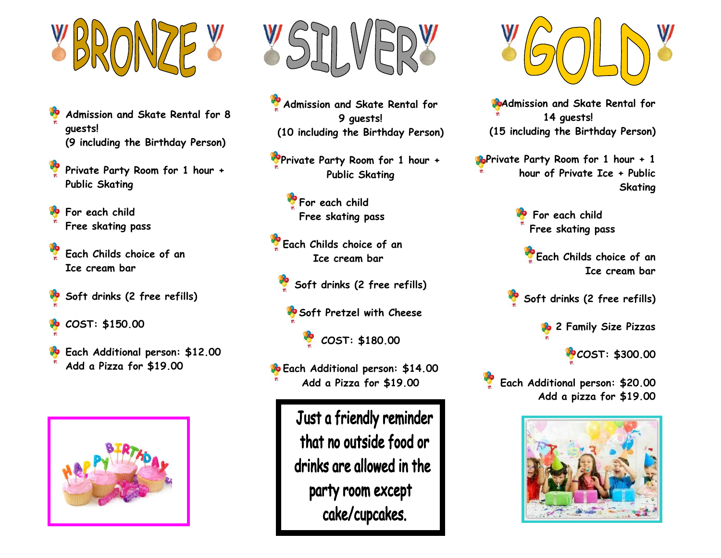

- **Admission and Skate Rental for 8 guests! (9 including the Birthday Person)**
- **Private Party Room for 1 hour + Public Skating**
- **For each child Free skating pass**
- **Each Childs choice of an Ice cream bar**
- **Soft drinks (2 free refills)**
- **COST: \$150.00**
- **Each Additional person: \$12.00 Add a Pizza for \$19.00**





**Admission and Skate Rental for 9 guests! (10 including the Birthday Person)**

**Private Party Room for 1 hour + Public Skating**

> **For each child Free skating pass**

**Each Childs choice of an Ice cream bar** 

**Soft drinks (2 free refills)**

**Soft Pretzel with Cheese**

**COST: \$180.00**

**Each Additional person: \$14.00 Add a Pizza for \$19.00**

> Just a friendly reminder that no outside food or drinks are allowed in the party room except cake/cupcakes.



**Admission and Skate Rental for 14 guests! (15 including the Birthday Person)**

**PoPrivate Party Room for 1 hour + 1 hour of Private Ice + Public Skating**

> **For each child Free skating pass**

 **Each Childs choice of an Ice cream bar**

**Soft drinks (2 free refills)**

**2 Family Size Pizzas**

**COST: \$300.00**

**Each Additional person: \$20.00 Add a pizza for \$19.00**